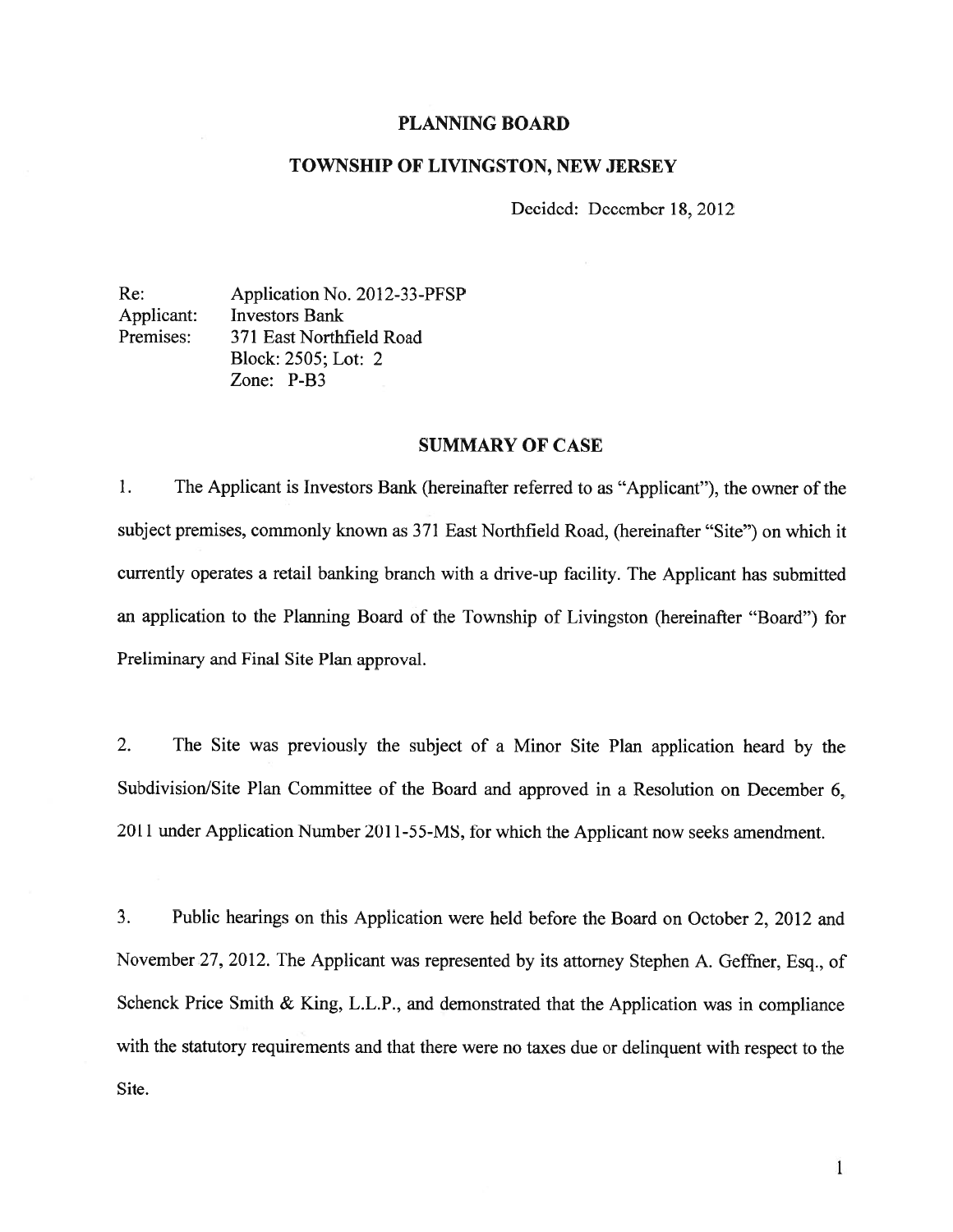# PLANNING BOARD

## TOWNSHIP OF LIVINGSTON, NEW JERSEY

Decided: December 18, 2012

Re: Application No. 2012-33-PFSP Applicant: Investors Bank Premises: 371 East Northfield Road Block: 2505; Lot: 2 Zone: P-B3

# SUMMARY OF CASE

1. The Applicant is Investors Bank (hereinafter referred to as "Applicant"), the owner of the subject premises, commonly known as 371 East Northfield Road, (hereinafter "Site") on which it currently operates <sup>a</sup> retail banking branch with <sup>a</sup> drive-up facility. The Applicant has submitted an application to the Planning Board of the Township of Livingston (hereinafter "Board") for Preliminary and Final Site Plan approval.

2. The Site was previously the subject of <sup>a</sup> Minor Site Plan application heard by the Subdivision/Site Plan Committee of the Board and approved in a Resolution on December 6, 2011 under Application Number 2011-55-MS, for which the Applicant now seeks amendment.

3. Public hearings on this Application were held before the Board on October 2, 2012 and November 27, 2012. The Applicant was represented by its attorney Stephen A. Geffner, Esq., of Schenck Price Smith & King, L.L.P., and demonstrated that the Application was in compliance with the statutory requirements and that there were no taxes due or delinquent with respec<sup>t</sup> to the Site.

 $\mathbf{1}$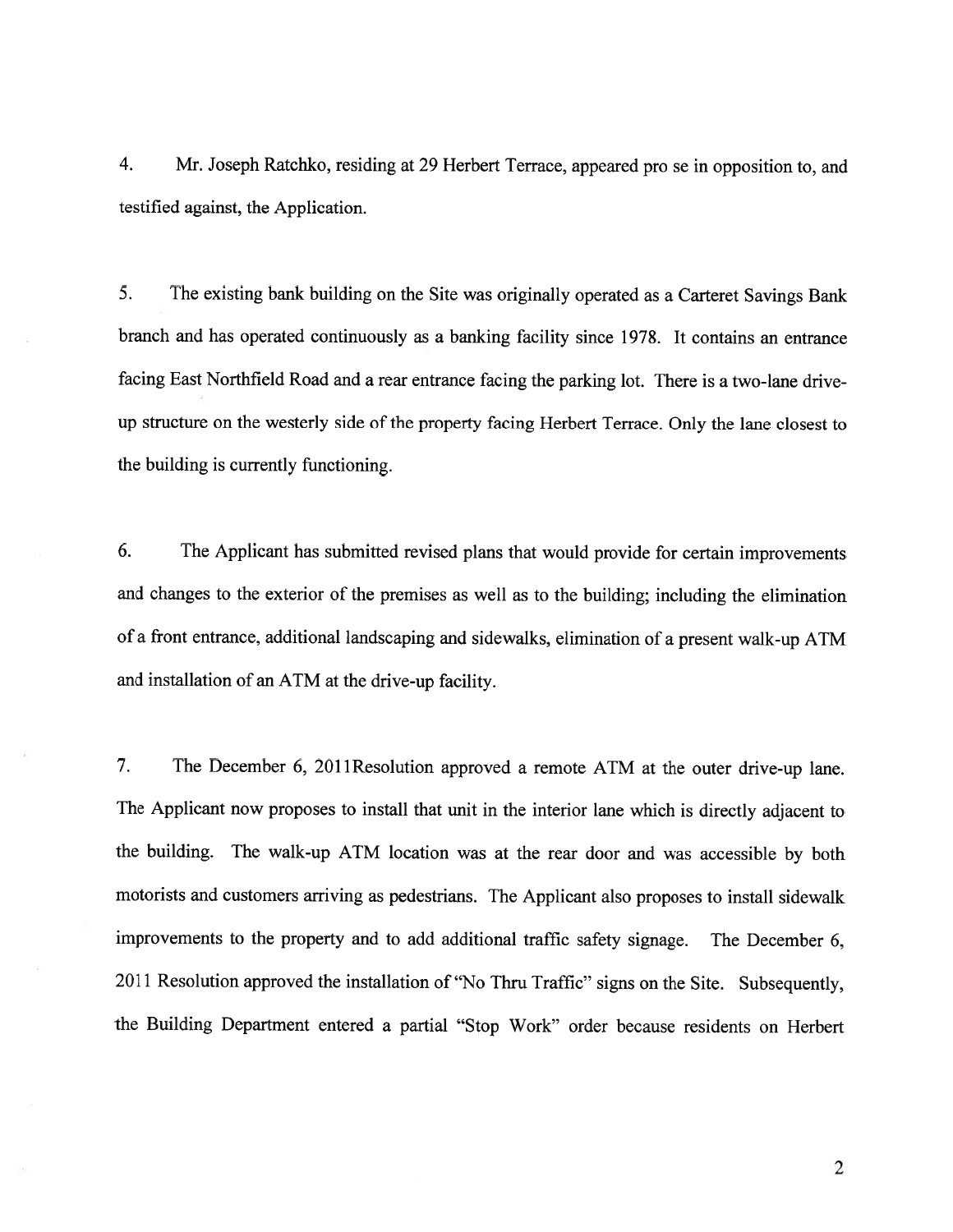4. Mr. Joseph Ratchko, residing at 29 Herbert Terrace, appeared pro se in opposition to, and testified against, the Application.

5. The existing bank building on the Site was originally operated as <sup>a</sup> Carteret Savings Bank branch and has operated continuously as <sup>a</sup> banking facility since 1978. It contains an entrance facing East Northfield Road and <sup>a</sup> rear entrance facing the parking lot. There is <sup>a</sup> two-lane driveup structure on the westerly side of the property facing Herbert Terrace. Only the lane closest to the building is currently functioning.

6. The Applicant has submitted revised <sup>p</sup>lans that would provide for certain improvements and changes to the exterior of the premises as well as to the building; including the elimination of <sup>a</sup> front entrance, additional landscaping and sidewalks, elimination of <sup>a</sup> presen<sup>t</sup> walk-up ATM and installation of an ATM at the drive-up facility.

7. The December 6, <sup>2011</sup> Resolution approve<sup>d</sup> <sup>a</sup> remote ATM at the outer drive-up lane. The Applicant now proposes to install that unit in the interior lane which is directly adjacent to the building. The walk-up ATM location was at the rear door and was accessible by both motorists and customers arriving as pedestrians. The Applicant also proposes to install sidewalk improvements to the property and to add additional traffic safety signage. The December 6, <sup>2011</sup> Resolution approve<sup>d</sup> the installation of "No Thru Traffic" signs on the Site. Subsequently, the Building Department entered <sup>a</sup> partial "Stop Work" order because residents on Herbert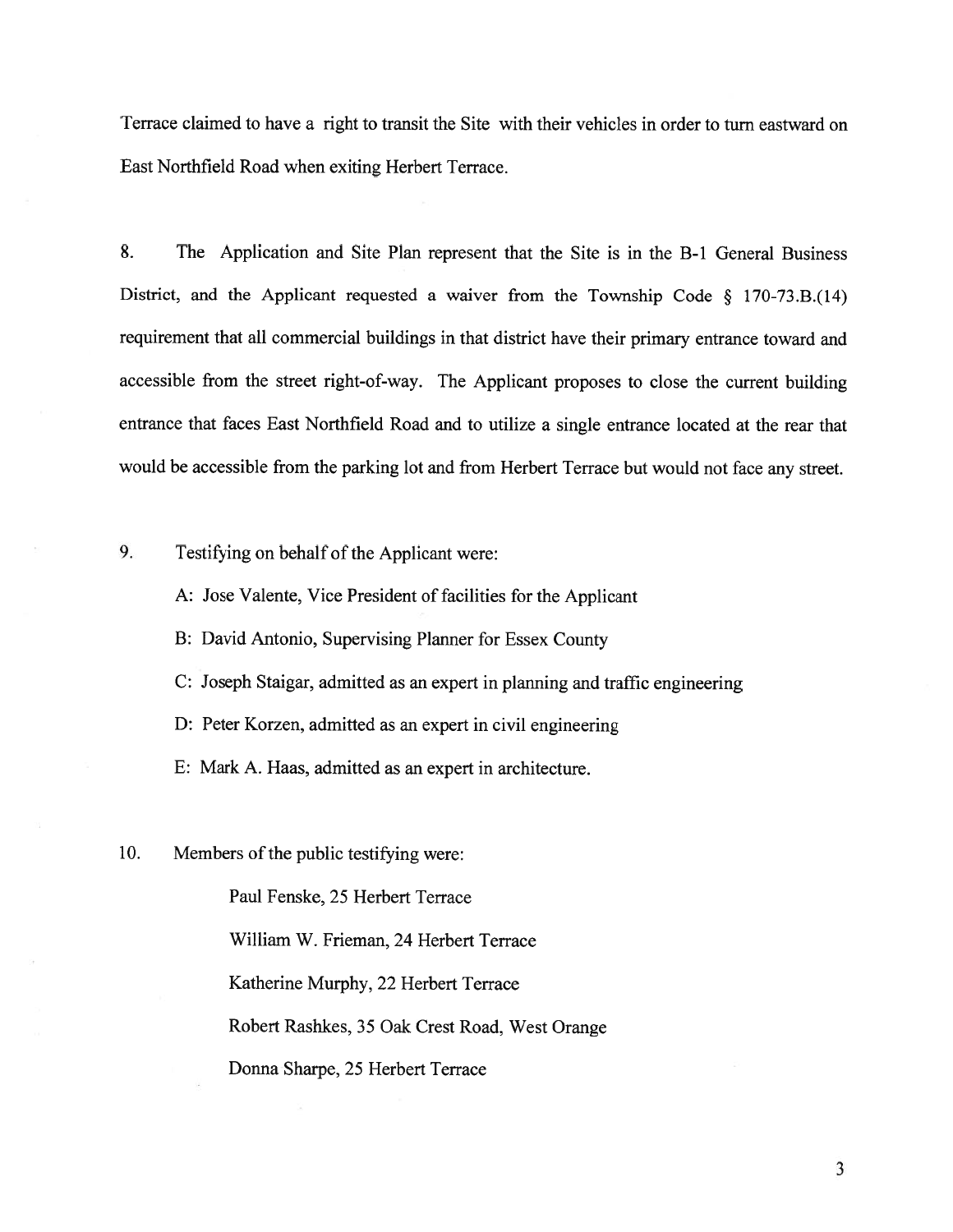Terrace claimed to have <sup>a</sup> right to transit the Site with their vehicles in order to turn eastward on East Northfield Road when exiting Herbert Terrace.

8. The Application and Site Plan represent that the Site is in the B-1 General Business District, and the Applicant requested <sup>a</sup> waiver from the Township Code § 170-73.B.(14) requirement that all commercial buildings in that district have their primary entrance toward and accessible from the street right-of-way. The Applicant proposes to close the current building entrance that faces East Northfield Road and to utilize <sup>a</sup> single entrance located at the rear that would be accessible from the parking lot and from Herbert Terrace but would not face any street.

9. Testifying on behalf of the Applicant were:

A: Jose Valente, Vice President of facilities for the Applicant

B: David Antonio, Supervising Planner for Essex County

C: Joseph Staigar, admitted as an exper<sup>t</sup> in <sup>p</sup>lanning and traffic engineering

D: Peter Korzen, admitted as an exper<sup>t</sup> in civil engineering

E: Mark A. Haas, admitted as an exper<sup>t</sup> in architecture.

10. Members of the public testifying were:

Paul Fenske, 25 Herbert Terrace William W. Frieman, 24 Herbert Terrace Katherine Murphy, 22 Herbert Terrace Robert Rashkes, <sup>35</sup> Oak Crest Road, West Orange Donna Sharpe, 25 Herbert Terrace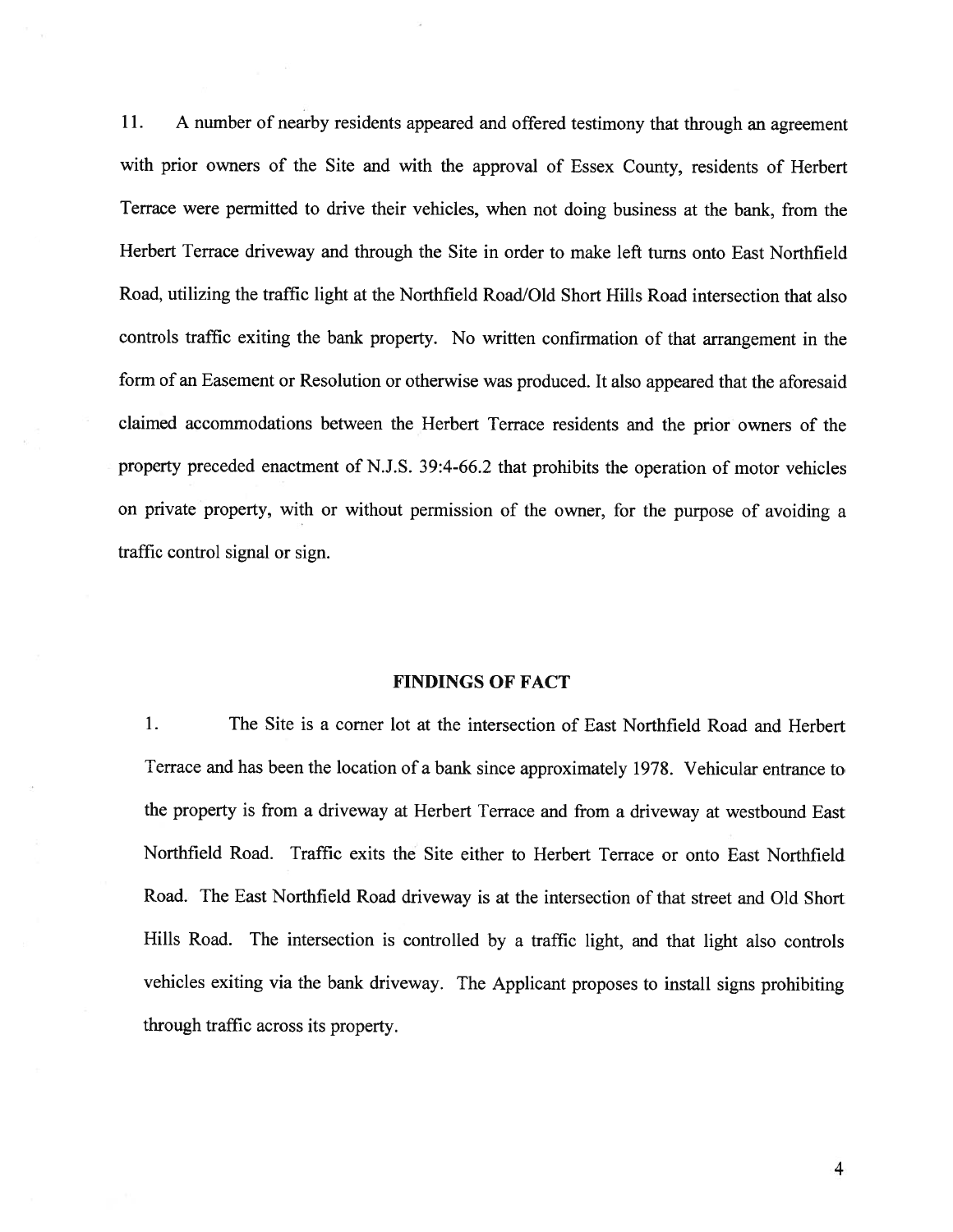11. <sup>A</sup> number of nearby residents appeare<sup>d</sup> and offered testimony that through an agreemen<sup>t</sup> with prior owners of the Site and with the approva<sup>l</sup> of Essex County, residents of Herbert Terrace were permitted to drive their vehicles, when not doing business at the bank, from the Herbert Terrace driveway and through the Site in order to make left turns onto East Northfield Road, utilizing the traffic light at the Northfield Road/Old Short Hills Road intersection that also controls traffic exiting the bank property. No written confirmation of that arrangemen<sup>t</sup> in the form of an Easement or Resolution or otherwise was produced. It also appeare<sup>d</sup> that the aforesaid claimed accommodations between the Herbert Terrace residents and the prior owners of the property preceded enactment of N.J.S. 39:4-66.2 that prohibits the operation of motor vehicles on private property, with or without permission of the owner, for the purpose of avoiding <sup>a</sup> traffic control signal or sign.

#### FINDINGS OF FACT

1. The Site is <sup>a</sup> corner lot at the intersection of East Northfield Road and Herbert Terrace and has been the location of <sup>a</sup> bank since approximately 1978. Vehicular entrance to the property is from <sup>a</sup> driveway at Herbert Terrace and from <sup>a</sup> driveway at westbound East Northfield Road. Traffic exits the Site either to Herbert Terrace or onto East Northfield Road. The East Northfield Road driveway is at the intersection of that street and Old Short Hills Road. The intersection is controlled by <sup>a</sup> traffic light, and that light also controls vehicles exiting via the bank driveway. The Applicant proposes to install signs prohibiting through traffic across its property.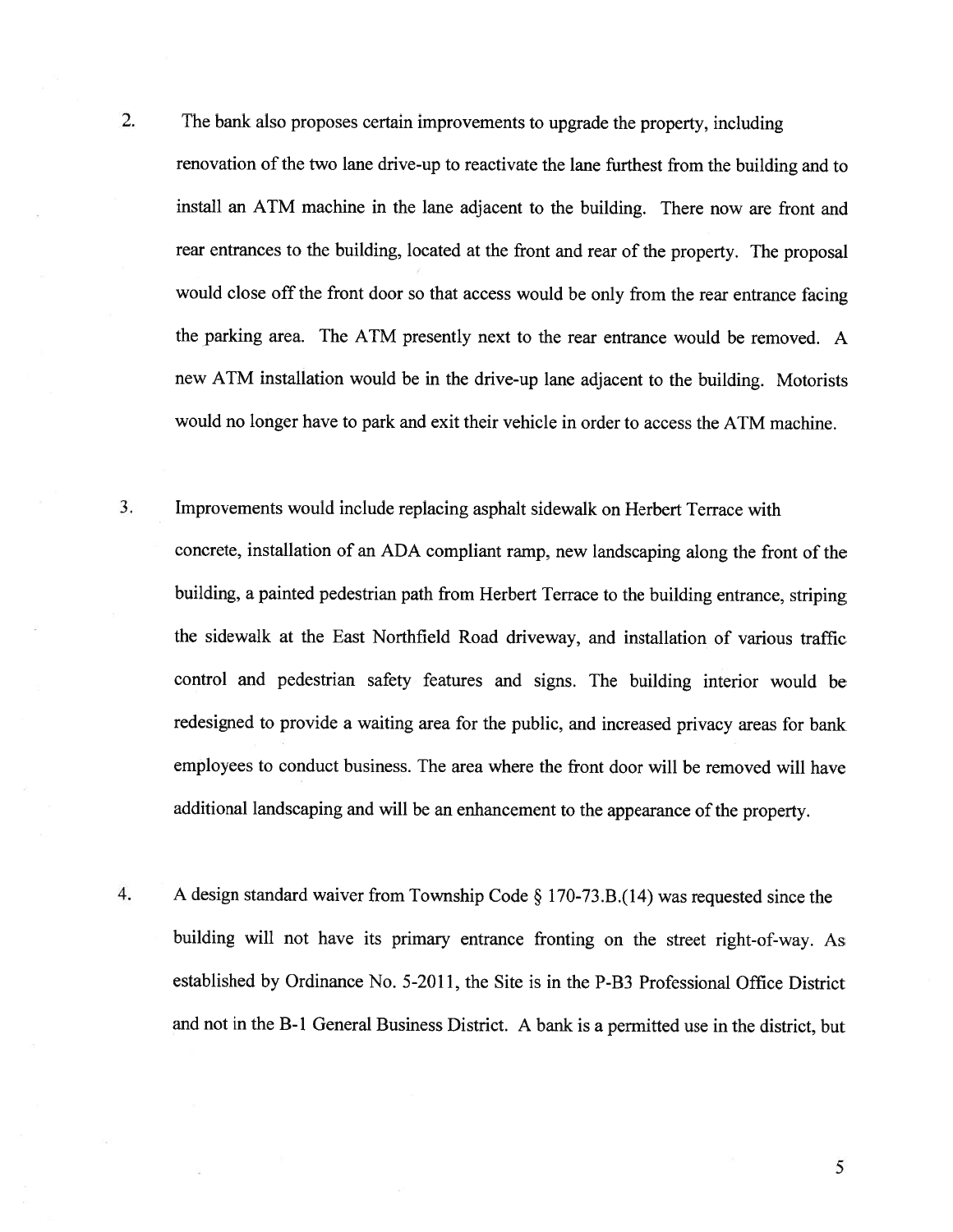2. The bank also proposes certain improvements to upgrade the property, including renovation of the two lane drive-up to reactivate the lane furthest from the building and to install an ATM machine in the lane adjacent to the building. There now are front and rear entrances to the building, located at the front and rear of the property. The proposa<sup>l</sup> would close off the front door so that access would be only from the rear entrance facing the parking area. The ATM presently next to the rear entrance would be removed. A new ATM installation would be in the drive-up lane adjacent to the building. Motorists would no longer have to park and exit their vehicle in order to access the ATM machine.

- 3. Improvements would include replacing asphalt sidewalk on Herbert Terrace with concrete, installation of an ADA compliant ramp, new landscaping along the front of the building, <sup>a</sup> painted pedestrian path from Herbert Terrace to the building entrance, striping the sidewalk at the East Northfield Road driveway, and installation of various traffic control and pedestrian safety features and signs. The building interior would be redesigned to provide <sup>a</sup> waiting area for the public, and increased privacy areas for bank employees to conduct business. The area where the front door will be removed will have additional landscaping and will be an enhancement to the appearance of the property.
- 4. <sup>A</sup> design standard waiver from Township Code § 170-73.B.(l4) was requested since the building will not have its primary entrance fronting on the street right-of-way. As established by Ordinance No. 5-201 1, the Site is in the P-B3 Professional Office District and not in the B-i General Business District. <sup>A</sup> bank is <sup>a</sup> permitted use in the district, but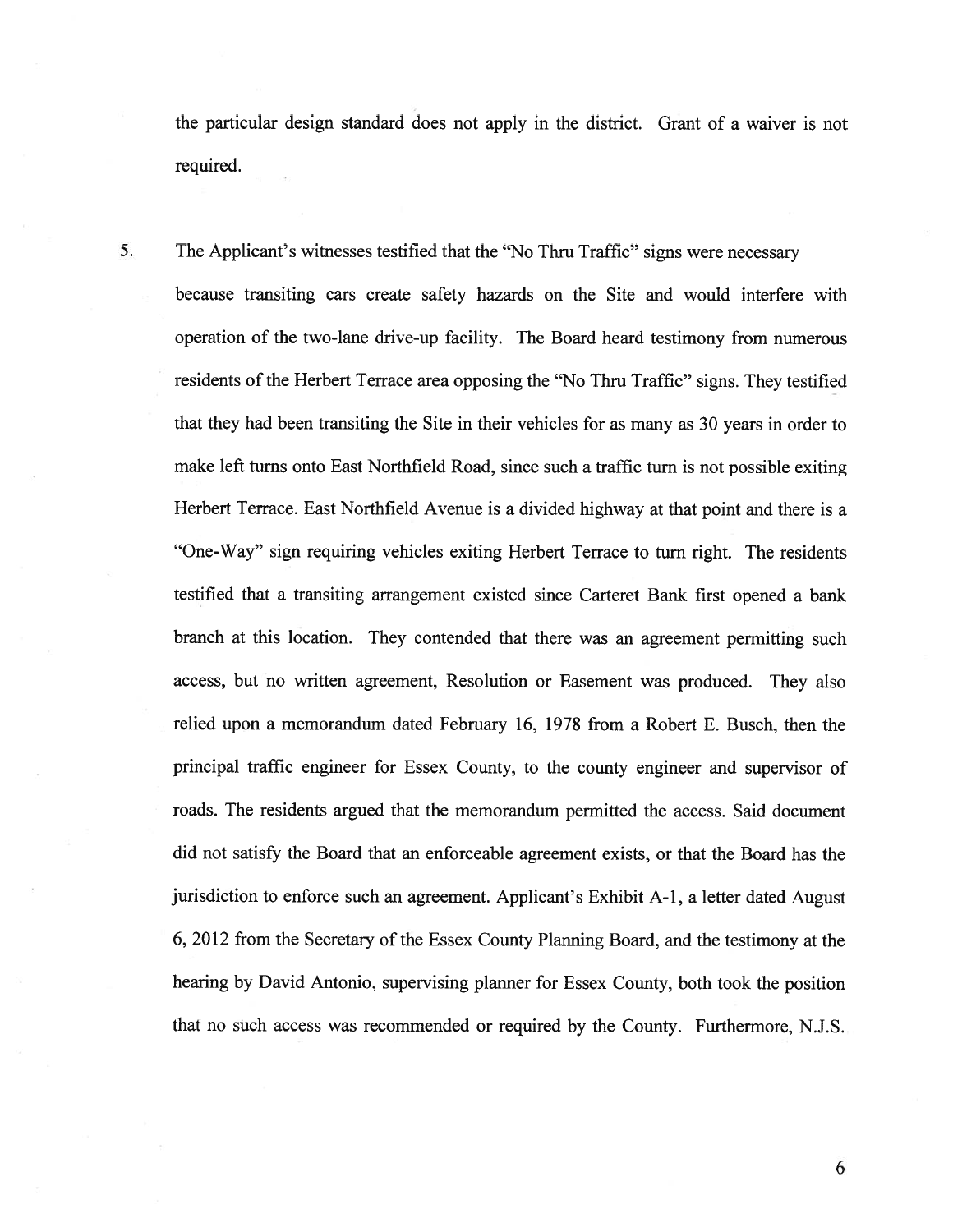the particular design standard does not apply in the district. Grant of <sup>a</sup> waiver is not required.

5. The Applicant's witnesses testified that the "No Thru Traffic" signs were necessary because transiting cars create safety hazards on the Site and would interfere with operation of the two-lane drive-up facility. The Board heard testimony from numerous residents of the Herbert Terrace area opposing the "No Thru Traffic" signs. They testified that they had been transiting the Site in their vehicles for as many as 30 years in order to make left turns onto East Northfield Road, since such <sup>a</sup> traffic turn is not possible exiting Herbert Terrace. East Northfield Avenue is <sup>a</sup> divided highway at that point and there is <sup>a</sup> "One-Way" sign requiring vehicles exiting Herbert Terrace to turn right. The residents testified that <sup>a</sup> transiting arrangemen<sup>t</sup> existed since Carteret Bank first opened <sup>a</sup> bank branch at this location. They contended that there was an agreemen<sup>t</sup> permitting such access, but no written agreement, Resolution or Easement was produced. They also relied upon <sup>a</sup> memorandum dated February 16, 1978 from <sup>a</sup> Robert E. Busch, then the principal traffic engineer for Essex County, to the county engineer and supervisor of roads. The residents argued that the memorandum permitted the access. Said document did not satisfy the Board that an enforceable agreemen<sup>t</sup> exists, or that the Board has the jurisdiction to enforce such an agreement. Applicant's Exhibit A-1, a letter dated August 6, 2012 from the Secretary of the Essex County Planning Board, and the testimony at the hearing by David Antonio, supervising <sup>p</sup>lanner for Essex County, both took the position that no such access was recommended or required by the County. Furthermore, N.J.S.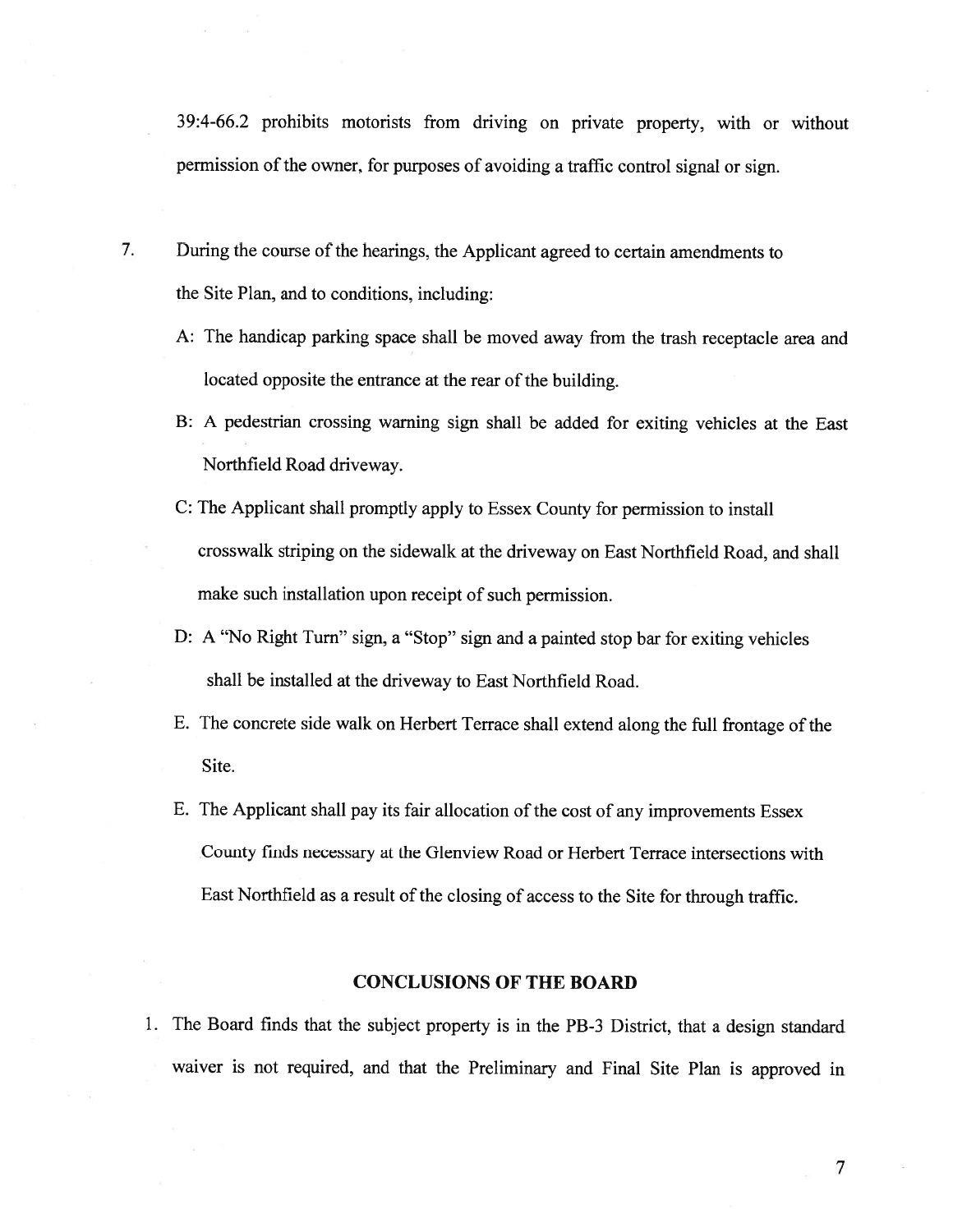39:4-66.2 prohibits motorists from driving on private property, with or without permission of the owner, for purposes of avoiding a traffic control signal or sign.

- 7. During the course of the hearings, the Applicant agreed to certain amendments to the Site Plan, and to conditions, including:
	- A: The handicap parking space shall be moved away from the trash receptacle area and located opposite the entrance at the rear of the building.
	- B: <sup>A</sup> pedestrian crossing warning sign shall be added for exiting vehicles at the East Northfield Road driveway.
	- C: The Applicant shall promptly apply to Essex County for permission to install crosswalk striping on the sidewalk at the driveway on East Northfield Road, and shall make such installation upon receipt of such permission.
	- D: <sup>A</sup> "No Right Turn" sign, <sup>a</sup> "Stop" sign and <sup>a</sup> painted stop bar for exiting vehicles shall be installed at the driveway to East Northfield Road.
	- E. The concrete side walk on Herbert Terrace shall extend along the full frontage of the Site.
	- E. The Applicant shall pay its fair allocation of the cost of any improvements Essex County finds necessary at the Glenview Road or Herbert Terrace intersections with East Northfield as <sup>a</sup> result of the closing of access to the Site for through traffic.

## CONCLUSIONS OF THE BOARD

1. The Board finds that the subject property is in the PB-3 District, that <sup>a</sup> design standard waiver is not required, and that the Preliminary and Final Site Plan is approve<sup>d</sup> in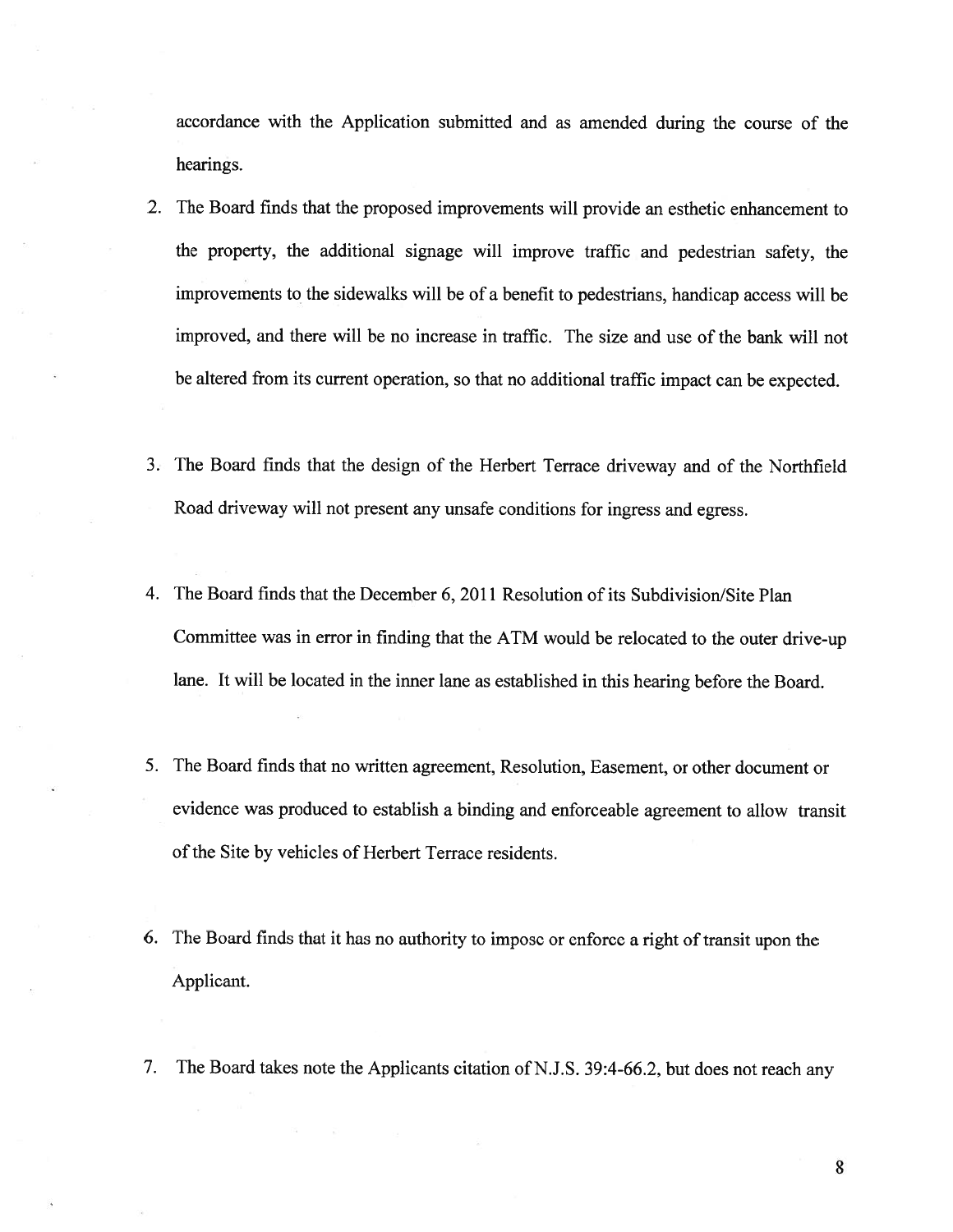accordance with the Application submitted and as amended during the course of the hearings.

- 2. The Board finds that the proposed improvements will provide an esthetic enhancement to the property, the additional signage will improve traffic and pedestrian safety, the improvements to the sidewalks will be of <sup>a</sup> benefit to pedestrians, handicap access will be improved, and there will be no increase in traffic. The size and use of the bank will not be altered from its current operation, so that no additional traffic impact can be expected.
- 3. The Board finds that the design of the Herbert Terrace driveway and of the Northfield Road driveway will not presen<sup>t</sup> any unsafe conditions for ingress and egress.
- 4. The Board finds that the December 6, 2011 Resolution of its Subdivision/Site Plan Committee was in error in finding that the ATM would be relocated to the outer drive-up lane. It will be located in the inner lane as established in this hearing before the Board.
- 5. The Board finds that no written agreement, Resolution, Easement, or other document or evidence was produced to establish <sup>a</sup> binding and enforceable agreemen<sup>t</sup> to allow transit of the Site by vehicles of Herbert Terrace residents.
- 6. The Board finds that it has no authority to impose or enforce <sup>a</sup> right of transit upon the Applicant.
- 7. The Board takes note the Applicants citation of N.J.S. 39:4-66.2, but does not reach any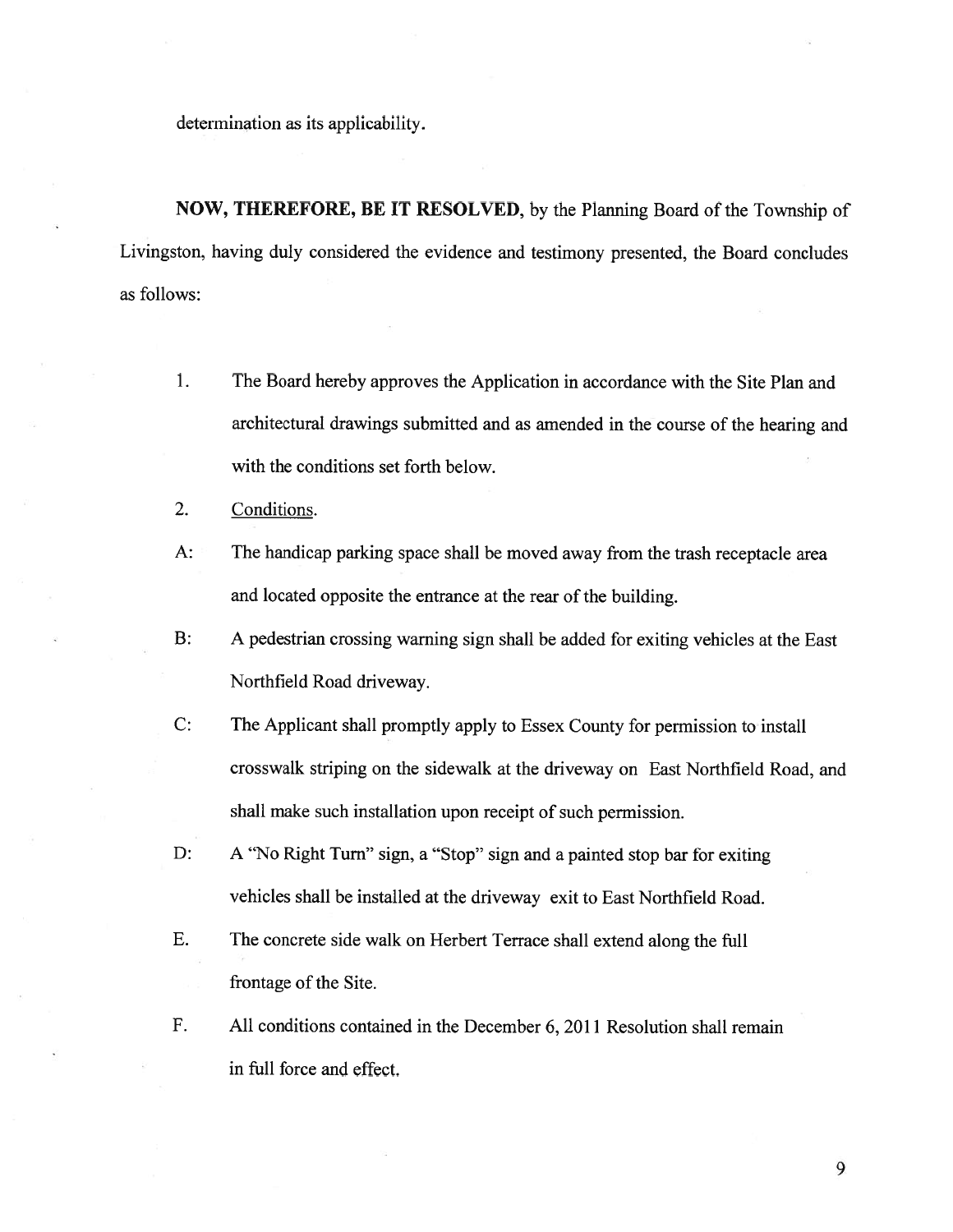determination as its applicability.

NOW, THEREFORE, BE IT RESOLVED, by the Planning Board of the Township of Livingston, having duly considered the evidence and testimony presented, the Board concludes as follows:

- 1. The Board hereby approves the Application in accordance with the Site Plan and architectural drawings submitted and as amended in the course of the hearing and with the conditions set forth below.
- 2. Conditions.
- A: The handicap parking space shall be moved away from the trash receptacle area and located opposite the entrance at the rear of the building.
- B: A pedestrian crossing warning sign shall be added for exiting vehicles at the East Northfield Road driveway.
- C: The Applicant shall promptly apply to Essex County for permission to install crosswalk striping on the sidewalk at the driveway on East Northfield Road, and shall make such installation upon receipt of such permission.
- D: A "No Right Turn" sign, a "Stop" sign and a painted stop bar for exiting vehicles shall be installed at the driveway exit to East Northfield Road.
- E. The concrete side walk on Herbert Terrace shall extend along the full frontage of the Site.
- F. All conditions contained in the December 6, 2011 Resolution shall remain in full force and effect.